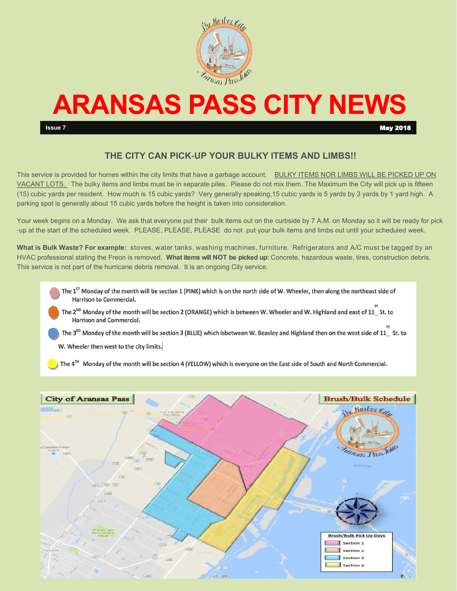

# **ARANSAS PASS CITY NEWS**

**Issue 7** May 2018

### **THE CITY CAN PICK-UP YOUR BULKY ITEMS AND LIMBS!!**

This service is provided for homes within the city limits that have a garbage account. BULKY ITEMS NOR LIMBS WILL BE PICKED UP ON VACANT LOTS. The bulky items and limbs must be in separate piles. Please do not mix them. The Maximum the City will pick up is fifteen (15) cubic yards per resident. How much is 15 cubic yards? Very generally speaking,15 cubic yards is 5 yards by 3 yards by 1 yard high. A parking spot is generally about 15 cubic yards before the height is taken into consideration.

Your week begins on a Monday. We ask that everyone put their bulk items out on the curbside by 7 A.M. on Monday so it will be ready for pick -up at the start of the scheduled week. PLEASE, PLEASE, PLEASE do not put your bulk items and limbs out until your scheduled week.

**What is Bulk Waste? For example:** stoves, water tanks, washing machines, furniture. Refrigerators and A/C must be tagged by an HVAC professional stating the Freon is removed. **What items will NOT be picked up:** Concrete, hazardous waste, tires, construction debris. This service is not part of the hurricane debris removal. It is an ongoing City service.

- The 1<sup>ST</sup> Monday of the month will be section 1 (PINK) which is on the north side of W. Wheeler, then along the northeast side of **Harrison to Commercial.**
- The 2<sup>ND</sup> Monday of the month will be section 2 (ORANGE) which is between W. Wheeler and W. Highland and east of 11\_St. to **Harrison and Commercial.**
- The 3<sup>RD</sup> Monday of the month will be section 3 (BLUE) which isbetween W. Beasley and Highland then on the west side of 11 St. to
- W. Wheeler then west to the city limits.

The 4<sup>TH</sup> Monday of the month will be section 4 (YELLOW) which is everyone on the East side of South and North Commercial.

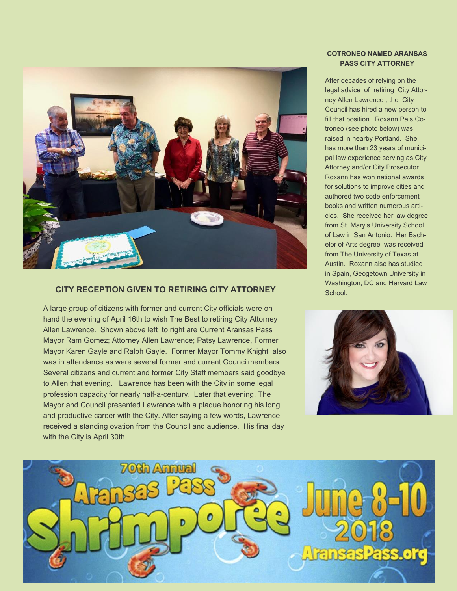

### **CITY RECEPTION GIVEN TO RETIRING CITY ATTORNEY**

A large group of citizens with former and current City officials were on hand the evening of April 16th to wish The Best to retiring City Attorney Allen Lawrence. Shown above left to right are Current Aransas Pass Mayor Ram Gomez; Attorney Allen Lawrence; Patsy Lawrence, Former Mayor Karen Gayle and Ralph Gayle. Former Mayor Tommy Knight also was in attendance as were several former and current Councilmembers. Several citizens and current and former City Staff members said goodbye to Allen that evening. Lawrence has been with the City in some legal profession capacity for nearly half-a-century. Later that evening, The Mayor and Council presented Lawrence with a plaque honoring his long and productive career with the City. After saying a few words, Lawrence received a standing ovation from the Council and audience. His final day with the City is April 30th.

### **COTRONEO NAMED ARANSAS PASS CITY ATTORNEY**

After decades of relying on the legal advice of retiring City Attorney Allen Lawrence , the City Council has hired a new person to fill that position. Roxann Pais Cotroneo (see photo below) was raised in nearby Portland. She has more than 23 years of municipal law experience serving as City Attorney and/or City Prosecutor. Roxann has won national awards for solutions to improve cities and authored two code enforcement books and written numerous articles. She received her law degree from St. Mary's University School of Law in San Antonio. Her Bachelor of Arts degree was received from The University of Texas at Austin. Roxann also has studied in Spain, Geogetown University in Washington, DC and Harvard Law School.



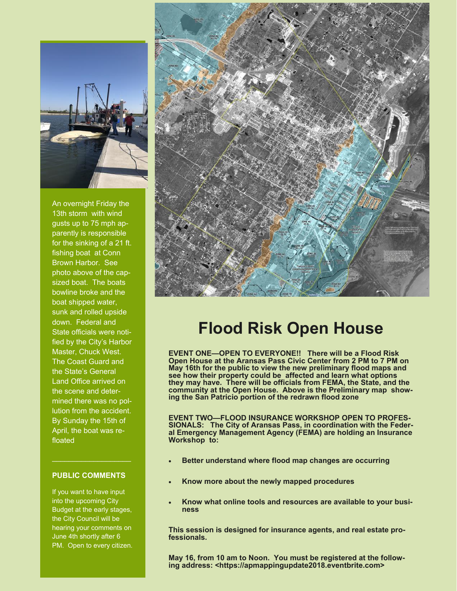

An overnight Friday the 13th storm with wind gusts up to 75 mph apparently is responsible for the sinking of a 21 ft. fishing boat at Conn Brown Harbor. See photo above of the capsized boat. The boats bowline broke and the boat shipped water, sunk and rolled upside down. Federal and State officials were notified by the City's Harbor Master, Chuck West. The Coast Guard and the State's General Land Office arrived on the scene and determined there was no pollution from the accident. By Sunday the 15th of April, the boat was refloated

### **PUBLIC COMMENTS**

If you want to have input into the upcoming City Budget at the early stages, the City Council will be hearing your comments on June 4th shortly after 6 PM. Open to every citizen.



# **Flood Risk Open House**

**EVENT ONE—OPEN TO EVERYONE!! There will be a Flood Risk Open House at the Aransas Pass Civic Center from 2 PM to 7 PM on May 16th for the public to view the new preliminary flood maps and see how their property could be affected and learn what options they may have. There will be officials from FEMA, the State, and the community at the Open House. Above is the Preliminary map showing the San Patricio portion of the redrawn flood zone** 

**EVENT TWO—FLOOD INSURANCE WORKSHOP OPEN TO PROFES-SIONALS: The City of Aransas Pass, in coordination with the Federal Emergency Management Agency (FEMA) are holding an Insurance Workshop to:**

- **Better understand where flood map changes are occurring**
- **Know more about the newly mapped procedures**
- **Know what online tools and resources are available to your business**

**This session is designed for insurance agents, and real estate professionals.** 

**May 16, from 10 am to Noon. You must be registered at the following address: <https://apmappingupdate2018.eventbrite.com>**